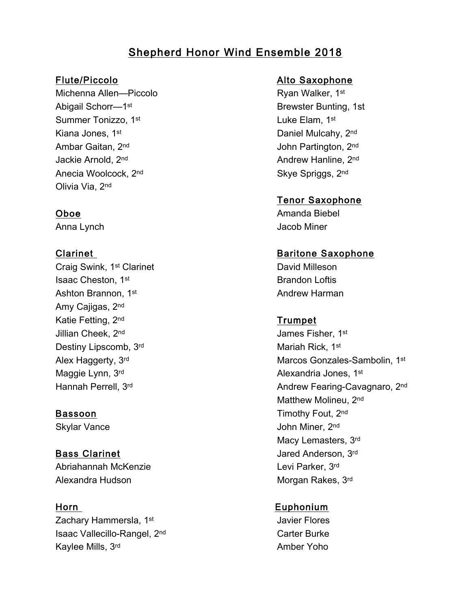# Shepherd Honor Wind Ensemble 2018

Michenna Allen—Piccolo **Ryan Walker, 1st** Ryan Walker, 1st Abigail Schorr—1<sup>st</sup> Brewster Bunting, 1st Summer Tonizzo, 1<sup>st</sup> Luke Elam, 1<sup>st</sup> Kiana Jones, 1<sup>st</sup> Daniel Mulcahy, 2<sup>nd</sup> Ambar Gaitan, 2<sup>nd</sup> John Partington, 2<sup>nd</sup> Jackie Arnold, 2<sup>nd</sup> Andrew Hanline, 2<sup>nd</sup> Andrew Hanline, 2<sup>nd</sup> Anecia Woolcock, 2<sup>nd</sup> Skye Spriggs, 2<sup>nd</sup> Olivia Via, 2nd

Craig Swink, 1st Clarinet Craig Swink, 1st Clarinet **Isaac Cheston, 1st Brandon Loftis** Brandon Loftis Ashton Brannon, 1<sup>st</sup> Andrew Harman Amy Cajigas, 2nd Katie Fetting, 2<sup>nd</sup> Trumpet Jillian Cheek, 2<sup>nd</sup> James Fisher, 1st Destiny Lipscomb, 3rd Mariah Rick, 1st Maggie Lynn, 3<sup>rd</sup> Alexandria Jones, 1<sup>st</sup>

Abriahannah McKenzie Levi Parker, 3rd Alexandra Hudson Morgan Rakes, 3rd

Zachary Hammersla, 1<sup>st</sup> Javier Flores Isaac Vallecillo-Rangel, 2<sup>nd</sup> Carter Burke Kaylee Mills, 3<sup>rd</sup> Amber Yoho

# Flute/Piccolo **Alto Saxophone**

# Tenor Saxophone

Oboe Amanda Biebel Anna Lynch **Anna Lynch** Jacob Miner

# Clarinet **Baritone Saxophone**

Alex Haggerty, 3rd Marcos Gonzales-Sambolin, 1<sup>st</sup> Hannah Perrell, 3<sup>rd</sup> Andrew Fearing-Cavagnaro, 2<sup>nd</sup> Matthew Molineu, 2nd Bassoon **Bassoon** Timothy Fout, 2<sup>nd</sup> Skylar Vance **Skylar Vance John Miner**, 2<sup>nd</sup> Macy Lemasters, 3rd Bass Clarinet **Bass Claring Anderson**, 3rd

# Horn Euphonium